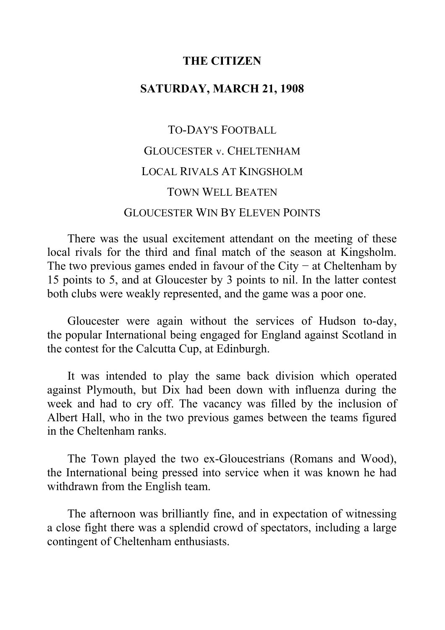#### **THE CITIZEN**

#### **SATURDAY, MARCH 21, 1908**

# TO-DAY'S FOOTBALL GLOUCESTER v. CHELTENHAM LOCAL RIVALS AT KINGSHOLM TOWN WELL BEATEN GLOUCESTER WIN BY ELEVEN POINTS

There was the usual excitement attendant on the meeting of these local rivals for the third and final match of the season at Kingsholm. The two previous games ended in favour of the City – at Cheltenham by 15 points to 5, and at Gloucester by 3 points to nil. In the latter contest both clubs were weakly represented, and the game was a poor one.

Gloucester were again without the services of Hudson to-day, the popular International being engaged for England against Scotland in the contest for the Calcutta Cup, at Edinburgh.

It was intended to play the same back division which operated against Plymouth, but Dix had been down with influenza during the week and had to cry off. The vacancy was filled by the inclusion of Albert Hall, who in the two previous games between the teams figured in the Cheltenham ranks.

The Town played the two ex-Gloucestrians (Romans and Wood), the International being pressed into service when it was known he had withdrawn from the English team.

The afternoon was brilliantly fine, and in expectation of witnessing a close fight there was a splendid crowd of spectators, including a large contingent of Cheltenham enthusiasts.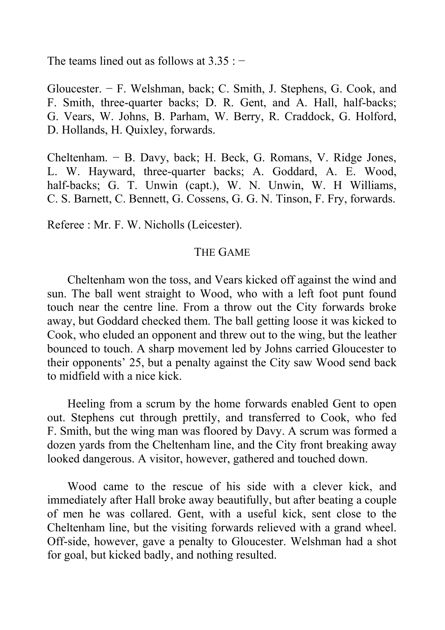The teams lined out as follows at  $3.35:$   $-$ 

Gloucester. − F. Welshman, back; C. Smith, J. Stephens, G. Cook, and F. Smith, three-quarter backs; D. R. Gent, and A. Hall, half-backs; G. Vears, W. Johns, B. Parham, W. Berry, R. Craddock, G. Holford, D. Hollands, H. Quixley, forwards.

Cheltenham. − B. Davy, back; H. Beck, G. Romans, V. Ridge Jones, L. W. Hayward, three-quarter backs; A. Goddard, A. E. Wood, half-backs; G. T. Unwin (capt.), W. N. Unwin, W. H Williams, C. S. Barnett, C. Bennett, G. Cossens, G. G. N. Tinson, F. Fry, forwards.

Referee : Mr. F. W. Nicholls (Leicester).

# THE GAME

Cheltenham won the toss, and Vears kicked off against the wind and sun. The ball went straight to Wood, who with a left foot punt found touch near the centre line. From a throw out the City forwards broke away, but Goddard checked them. The ball getting loose it was kicked to Cook, who eluded an opponent and threw out to the wing, but the leather bounced to touch. A sharp movement led by Johns carried Gloucester to their opponents' 25, but a penalty against the City saw Wood send back to midfield with a nice kick.

Heeling from a scrum by the home forwards enabled Gent to open out. Stephens cut through prettily, and transferred to Cook, who fed F. Smith, but the wing man was floored by Davy. A scrum was formed a dozen yards from the Cheltenham line, and the City front breaking away looked dangerous. A visitor, however, gathered and touched down.

Wood came to the rescue of his side with a clever kick, and immediately after Hall broke away beautifully, but after beating a couple of men he was collared. Gent, with a useful kick, sent close to the Cheltenham line, but the visiting forwards relieved with a grand wheel. Off-side, however, gave a penalty to Gloucester. Welshman had a shot for goal, but kicked badly, and nothing resulted.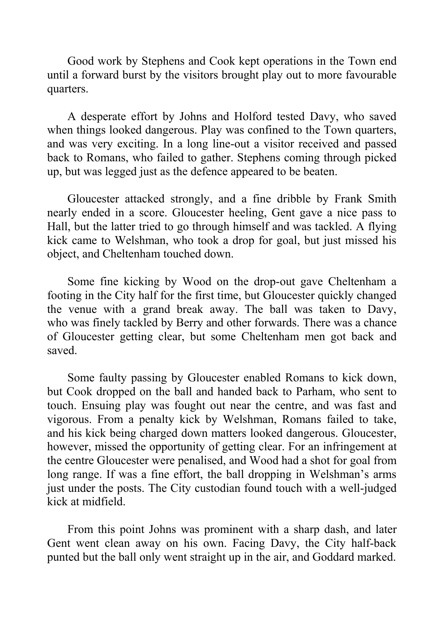Good work by Stephens and Cook kept operations in the Town end until a forward burst by the visitors brought play out to more favourable quarters.

A desperate effort by Johns and Holford tested Davy, who saved when things looked dangerous. Play was confined to the Town quarters, and was very exciting. In a long line-out a visitor received and passed back to Romans, who failed to gather. Stephens coming through picked up, but was legged just as the defence appeared to be beaten.

Gloucester attacked strongly, and a fine dribble by Frank Smith nearly ended in a score. Gloucester heeling, Gent gave a nice pass to Hall, but the latter tried to go through himself and was tackled. A flying kick came to Welshman, who took a drop for goal, but just missed his object, and Cheltenham touched down.

Some fine kicking by Wood on the drop-out gave Cheltenham a footing in the City half for the first time, but Gloucester quickly changed the venue with a grand break away. The ball was taken to Davy, who was finely tackled by Berry and other forwards. There was a chance of Gloucester getting clear, but some Cheltenham men got back and saved.

Some faulty passing by Gloucester enabled Romans to kick down, but Cook dropped on the ball and handed back to Parham, who sent to touch. Ensuing play was fought out near the centre, and was fast and vigorous. From a penalty kick by Welshman, Romans failed to take, and his kick being charged down matters looked dangerous. Gloucester, however, missed the opportunity of getting clear. For an infringement at the centre Gloucester were penalised, and Wood had a shot for goal from long range. If was a fine effort, the ball dropping in Welshman's arms just under the posts. The City custodian found touch with a well-judged kick at midfield.

From this point Johns was prominent with a sharp dash, and later Gent went clean away on his own. Facing Davy, the City half-back punted but the ball only went straight up in the air, and Goddard marked.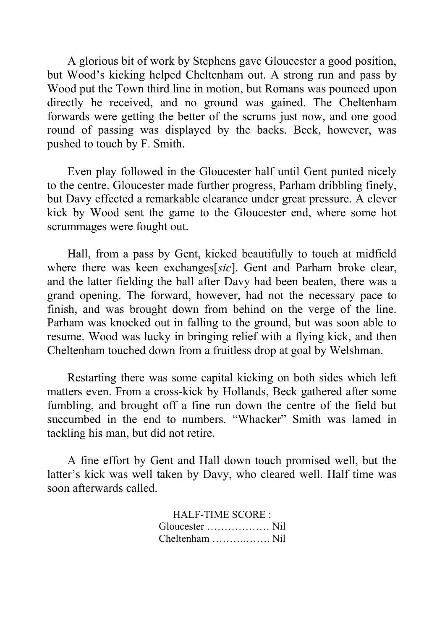A glorious bit of work by Stephens gave Gloucester a good position, but Wood's kicking helped Cheltenham out. A strong run and pass by Wood put the Town third line in motion, but Romans was pounced upon directly he received, and no ground was gained. The Cheltenham forwards were getting the better of the scrums just now, and one good round of passing was displayed by the backs. Beck, however, was pushed to touch by F. Smith.

Even play followed in the Gloucester half until Gent punted nicely to the centre. Gloucester made further progress, Parham dribbling finely, but Davy effected a remarkable clearance under great pressure. A clever kick by Wood sent the game to the Gloucester end, where some hot scrummages were fought out.

Hall, from a pass by Gent, kicked beautifully to touch at midfield where there was keen exchanges[*sic*]. Gent and Parham broke clear, and the latter fielding the ball after Davy had been beaten, there was a grand opening. The forward, however, had not the necessary pace to finish, and was brought down from behind on the verge of the line. Parham was knocked out in falling to the ground, but was soon able to resume. Wood was lucky in bringing relief with a flying kick, and then Cheltenham touched down from a fruitless drop at goal by Welshman.

Restarting there was some capital kicking on both sides which left matters even. From a cross-kick by Hollands, Beck gathered after some fumbling, and brought off a fine run down the centre of the field but succumbed in the end to numbers. "Whacker" Smith was lamed in tackling his man, but did not retire.

A fine effort by Gent and Hall down touch promised well, but the latter's kick was well taken by Davy, who cleared well. Half time was soon afterwards called.

> HALF-TIME SCORE : Gloucester ……………… Nil Cheltenham ……….……. Nil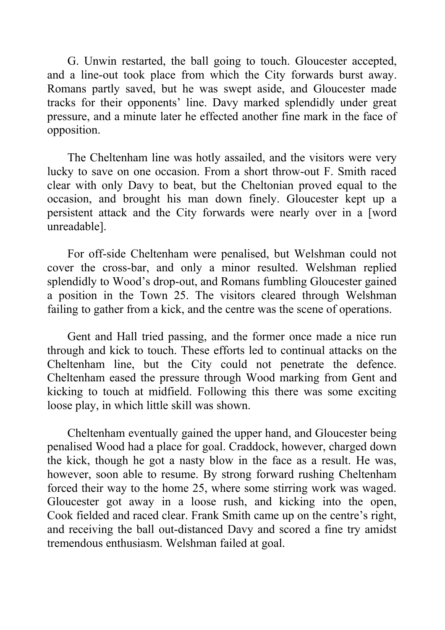G. Unwin restarted, the ball going to touch. Gloucester accepted, and a line-out took place from which the City forwards burst away. Romans partly saved, but he was swept aside, and Gloucester made tracks for their opponents' line. Davy marked splendidly under great pressure, and a minute later he effected another fine mark in the face of opposition.

The Cheltenham line was hotly assailed, and the visitors were very lucky to save on one occasion. From a short throw-out F. Smith raced clear with only Davy to beat, but the Cheltonian proved equal to the occasion, and brought his man down finely. Gloucester kept up a persistent attack and the City forwards were nearly over in a [word unreadable].

For off-side Cheltenham were penalised, but Welshman could not cover the cross-bar, and only a minor resulted. Welshman replied splendidly to Wood's drop-out, and Romans fumbling Gloucester gained a position in the Town 25. The visitors cleared through Welshman failing to gather from a kick, and the centre was the scene of operations.

Gent and Hall tried passing, and the former once made a nice run through and kick to touch. These efforts led to continual attacks on the Cheltenham line, but the City could not penetrate the defence. Cheltenham eased the pressure through Wood marking from Gent and kicking to touch at midfield. Following this there was some exciting loose play, in which little skill was shown.

Cheltenham eventually gained the upper hand, and Gloucester being penalised Wood had a place for goal. Craddock, however, charged down the kick, though he got a nasty blow in the face as a result. He was, however, soon able to resume. By strong forward rushing Cheltenham forced their way to the home 25, where some stirring work was waged. Gloucester got away in a loose rush, and kicking into the open, Cook fielded and raced clear. Frank Smith came up on the centre's right, and receiving the ball out-distanced Davy and scored a fine try amidst tremendous enthusiasm. Welshman failed at goal.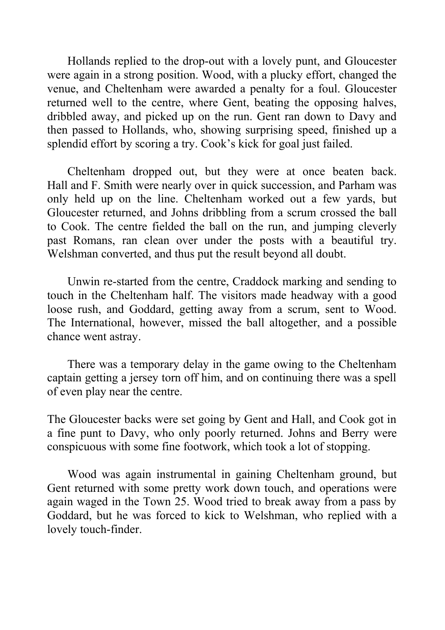Hollands replied to the drop-out with a lovely punt, and Gloucester were again in a strong position. Wood, with a plucky effort, changed the venue, and Cheltenham were awarded a penalty for a foul. Gloucester returned well to the centre, where Gent, beating the opposing halves, dribbled away, and picked up on the run. Gent ran down to Davy and then passed to Hollands, who, showing surprising speed, finished up a splendid effort by scoring a try. Cook's kick for goal just failed.

Cheltenham dropped out, but they were at once beaten back. Hall and F. Smith were nearly over in quick succession, and Parham was only held up on the line. Cheltenham worked out a few yards, but Gloucester returned, and Johns dribbling from a scrum crossed the ball to Cook. The centre fielded the ball on the run, and jumping cleverly past Romans, ran clean over under the posts with a beautiful try. Welshman converted, and thus put the result beyond all doubt.

Unwin re-started from the centre, Craddock marking and sending to touch in the Cheltenham half. The visitors made headway with a good loose rush, and Goddard, getting away from a scrum, sent to Wood. The International, however, missed the ball altogether, and a possible chance went astray.

There was a temporary delay in the game owing to the Cheltenham captain getting a jersey torn off him, and on continuing there was a spell of even play near the centre.

The Gloucester backs were set going by Gent and Hall, and Cook got in a fine punt to Davy, who only poorly returned. Johns and Berry were conspicuous with some fine footwork, which took a lot of stopping.

Wood was again instrumental in gaining Cheltenham ground, but Gent returned with some pretty work down touch, and operations were again waged in the Town 25. Wood tried to break away from a pass by Goddard, but he was forced to kick to Welshman, who replied with a lovely touch-finder.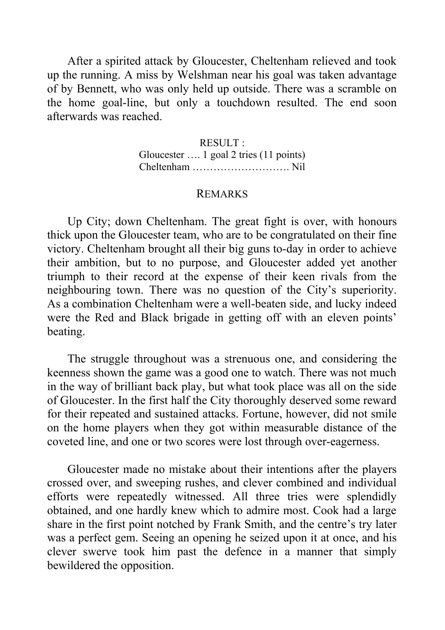After a spirited attack by Gloucester, Cheltenham relieved and took up the running. A miss by Welshman near his goal was taken advantage of by Bennett, who was only held up outside. There was a scramble on the home goal-line, but only a touchdown resulted. The end soon afterwards was reached.

> RESULT : Gloucester …. 1 goal 2 tries (11 points) Cheltenham ………………………. Nil

# REMARKS

Up City; down Cheltenham. The great fight is over, with honours thick upon the Gloucester team, who are to be congratulated on their fine victory. Cheltenham brought all their big guns to-day in order to achieve their ambition, but to no purpose, and Gloucester added yet another triumph to their record at the expense of their keen rivals from the neighbouring town. There was no question of the City's superiority. As a combination Cheltenham were a well-beaten side, and lucky indeed were the Red and Black brigade in getting off with an eleven points' beating.

The struggle throughout was a strenuous one, and considering the keenness shown the game was a good one to watch. There was not much in the way of brilliant back play, but what took place was all on the side of Gloucester. In the first half the City thoroughly deserved some reward for their repeated and sustained attacks. Fortune, however, did not smile on the home players when they got within measurable distance of the coveted line, and one or two scores were lost through over-eagerness.

Gloucester made no mistake about their intentions after the players crossed over, and sweeping rushes, and clever combined and individual efforts were repeatedly witnessed. All three tries were splendidly obtained, and one hardly knew which to admire most. Cook had a large share in the first point notched by Frank Smith, and the centre's try later was a perfect gem. Seeing an opening he seized upon it at once, and his clever swerve took him past the defence in a manner that simply bewildered the opposition.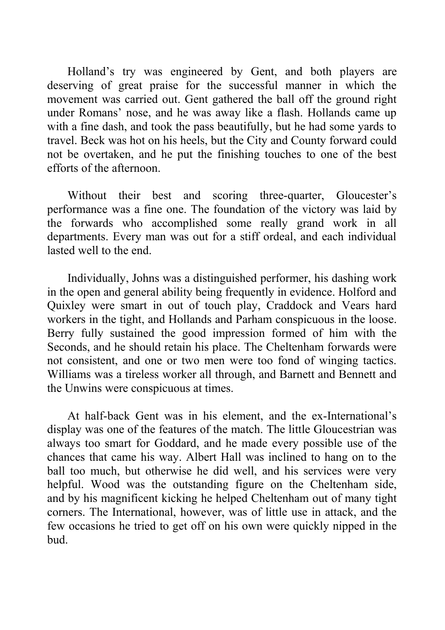Holland's try was engineered by Gent, and both players are deserving of great praise for the successful manner in which the movement was carried out. Gent gathered the ball off the ground right under Romans' nose, and he was away like a flash. Hollands came up with a fine dash, and took the pass beautifully, but he had some yards to travel. Beck was hot on his heels, but the City and County forward could not be overtaken, and he put the finishing touches to one of the best efforts of the afternoon.

Without their best and scoring three-quarter, Gloucester's performance was a fine one. The foundation of the victory was laid by the forwards who accomplished some really grand work in all departments. Every man was out for a stiff ordeal, and each individual lasted well to the end.

Individually, Johns was a distinguished performer, his dashing work in the open and general ability being frequently in evidence. Holford and Quixley were smart in out of touch play, Craddock and Vears hard workers in the tight, and Hollands and Parham conspicuous in the loose. Berry fully sustained the good impression formed of him with the Seconds, and he should retain his place. The Cheltenham forwards were not consistent, and one or two men were too fond of winging tactics. Williams was a tireless worker all through, and Barnett and Bennett and the Unwins were conspicuous at times.

At half-back Gent was in his element, and the ex-International's display was one of the features of the match. The little Gloucestrian was always too smart for Goddard, and he made every possible use of the chances that came his way. Albert Hall was inclined to hang on to the ball too much, but otherwise he did well, and his services were very helpful. Wood was the outstanding figure on the Cheltenham side, and by his magnificent kicking he helped Cheltenham out of many tight corners. The International, however, was of little use in attack, and the few occasions he tried to get off on his own were quickly nipped in the bud.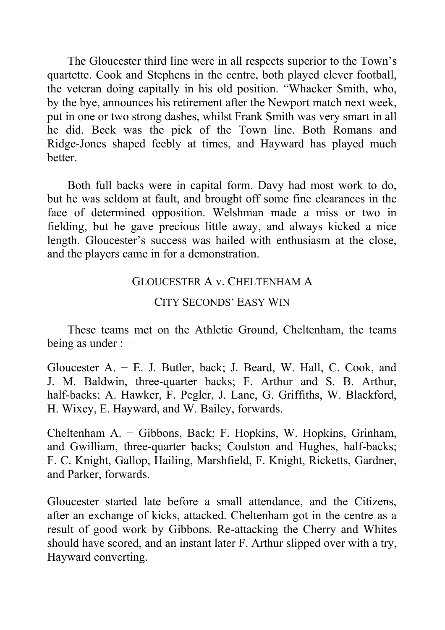The Gloucester third line were in all respects superior to the Town's quartette. Cook and Stephens in the centre, both played clever football, the veteran doing capitally in his old position. "Whacker Smith, who, by the bye, announces his retirement after the Newport match next week, put in one or two strong dashes, whilst Frank Smith was very smart in all he did. Beck was the pick of the Town line. Both Romans and Ridge-Jones shaped feebly at times, and Hayward has played much better.

Both full backs were in capital form. Davy had most work to do, but he was seldom at fault, and brought off some fine clearances in the face of determined opposition. Welshman made a miss or two in fielding, but he gave precious little away, and always kicked a nice length. Gloucester's success was hailed with enthusiasm at the close, and the players came in for a demonstration.

# GLOUCESTER A v. CHELTENHAM A

### CITY SECONDS' EASY WIN

These teams met on the Athletic Ground, Cheltenham, the teams being as under : −

Gloucester A. − E. J. Butler, back; J. Beard, W. Hall, C. Cook, and J. M. Baldwin, three-quarter backs; F. Arthur and S. B. Arthur, half-backs; A. Hawker, F. Pegler, J. Lane, G. Griffiths, W. Blackford, H. Wixey, E. Hayward, and W. Bailey, forwards.

Cheltenham A. − Gibbons, Back; F. Hopkins, W. Hopkins, Grinham, and Gwilliam, three-quarter backs; Coulston and Hughes, half-backs; F. C. Knight, Gallop, Hailing, Marshfield, F. Knight, Ricketts, Gardner, and Parker, forwards.

Gloucester started late before a small attendance, and the Citizens, after an exchange of kicks, attacked. Cheltenham got in the centre as a result of good work by Gibbons. Re-attacking the Cherry and Whites should have scored, and an instant later F. Arthur slipped over with a try, Hayward converting.